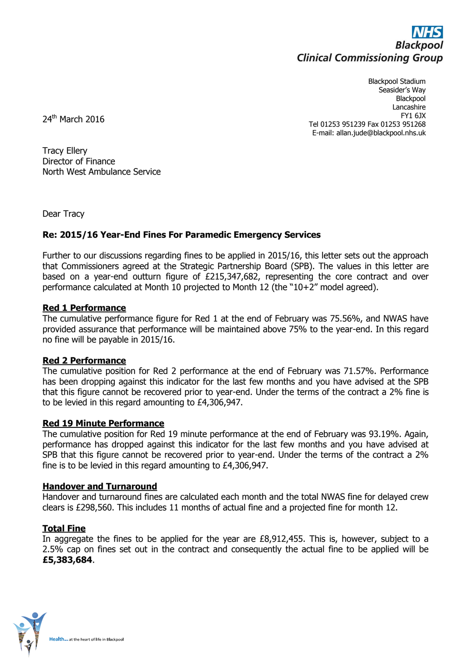

Blackpool Stadium Seasider's Way Blackpool Lancashire FY1 6JX Tel 01253 951239 Fax 01253 951268 E-mail: allan.jude@blackpool.nhs.uk

24<sup>th</sup> March 2016

Tracy Ellery Director of Finance North West Ambulance Service

Dear Tracy

# **Re: 2015/16 Year-End Fines For Paramedic Emergency Services**

Further to our discussions regarding fines to be applied in 2015/16, this letter sets out the approach that Commissioners agreed at the Strategic Partnership Board (SPB). The values in this letter are based on a year-end outturn figure of £215,347,682, representing the core contract and over performance calculated at Month 10 projected to Month 12 (the "10+2" model agreed).

## **Red 1 Performance**

The cumulative performance figure for Red 1 at the end of February was 75.56%, and NWAS have provided assurance that performance will be maintained above 75% to the year-end. In this regard no fine will be payable in 2015/16.

## **Red 2 Performance**

The cumulative position for Red 2 performance at the end of February was 71.57%. Performance has been dropping against this indicator for the last few months and you have advised at the SPB that this figure cannot be recovered prior to year-end. Under the terms of the contract a 2% fine is to be levied in this regard amounting to £4,306,947.

## **Red 19 Minute Performance**

The cumulative position for Red 19 minute performance at the end of February was 93.19%. Again, performance has dropped against this indicator for the last few months and you have advised at SPB that this figure cannot be recovered prior to year-end. Under the terms of the contract a 2% fine is to be levied in this regard amounting to £4,306,947.

## **Handover and Turnaround**

Handover and turnaround fines are calculated each month and the total NWAS fine for delayed crew clears is £298,560. This includes 11 months of actual fine and a projected fine for month 12.

## **Total Fine**

In aggregate the fines to be applied for the year are  $£8,912,455$ . This is, however, subject to a 2.5% cap on fines set out in the contract and consequently the actual fine to be applied will be **£5,383,684**.